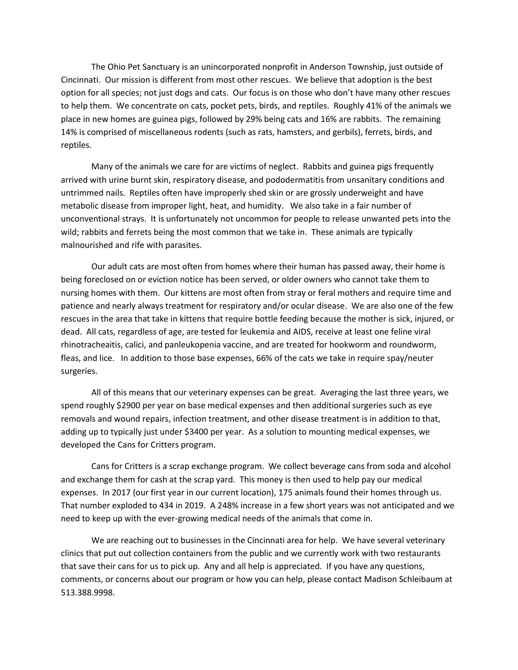The Ohio Pet Sanctuary is an unincorporated nonprofit in Anderson Township, just outside of Cincinnati. Our mission is different from most other rescues. We believe that adoption is the best option for all species; not just dogs and cats. Our focus is on those who don't have many other rescues to help them. We concentrate on cats, pocket pets, birds, and reptiles. Roughly 41% of the animals we place in new homes are guinea pigs, followed by 29% being cats and 16% are rabbits. The remaining 14% is comprised of miscellaneous rodents (such as rats, hamsters, and gerbils), ferrets, birds, and reptiles.

Many of the animals we care for are victims of neglect. Rabbits and guinea pigs frequently arrived with urine burnt skin, respiratory disease, and pododermatitis from unsanitary conditions and untrimmed nails. Reptiles often have improperly shed skin or are grossly underweight and have metabolic disease from improper light, heat, and humidity. We also take in a fair number of unconventional strays. It is unfortunately not uncommon for people to release unwanted pets into the wild; rabbits and ferrets being the most common that we take in. These animals are typically malnourished and rife with parasites.

Our adult cats are most often from homes where their human has passed away, their home is being foreclosed on or eviction notice has been served, or older owners who cannot take them to nursing homes with them. Our kittens are most often from stray or feral mothers and require time and patience and nearly always treatment for respiratory and/or ocular disease. We are also one of the few rescues in the area that take in kittens that require bottle feeding because the mother is sick, injured, or dead. All cats, regardless of age, are tested for leukemia and AIDS, receive at least one feline viral rhinotracheaitis, calici, and panleukopenia vaccine, and are treated for hookworm and roundworm, fleas, and lice. In addition to those base expenses, 66% of the cats we take in require spay/neuter surgeries.

All of this means that our veterinary expenses can be great. Averaging the last three years, we spend roughly \$2900 per year on base medical expenses and then additional surgeries such as eye removals and wound repairs, infection treatment, and other disease treatment is in addition to that, adding up to typically just under \$3400 per year. As a solution to mounting medical expenses, we developed the Cans for Critters program.

Cans for Critters is a scrap exchange program. We collect beverage cans from soda and alcohol and exchange them for cash at the scrap yard. This money is then used to help pay our medical expenses. In 2017 (our first year in our current location), 175 animals found their homes through us. That number exploded to 434 in 2019. A 248% increase in a few short years was not anticipated and we need to keep up with the ever-growing medical needs of the animals that come in.

We are reaching out to businesses in the Cincinnati area for help. We have several veterinary clinics that put out collection containers from the public and we currently work with two restaurants that save their cans for us to pick up. Any and all help is appreciated. If you have any questions, comments, or concerns about our program or how you can help, please contact Madison Schleibaum at 513.388.9998.